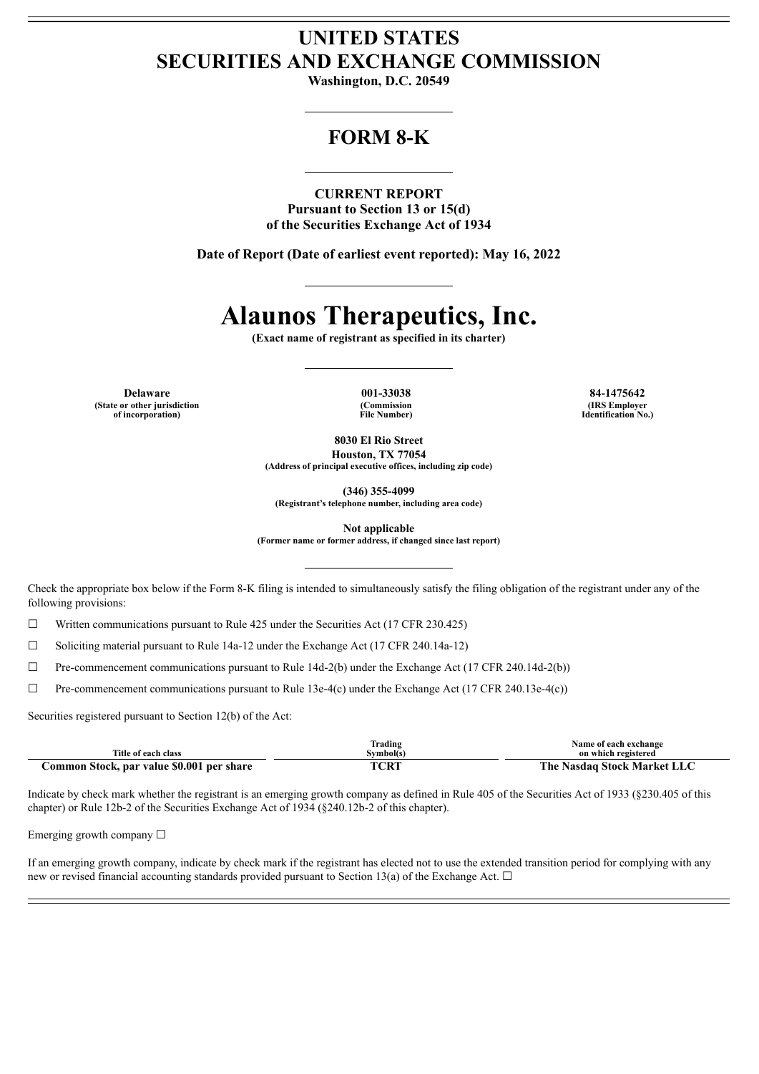# **UNITED STATES SECURITIES AND EXCHANGE COMMISSION**

**Washington, D.C. 20549**

## **FORM 8-K**

**CURRENT REPORT Pursuant to Section 13 or 15(d) of the Securities Exchange Act of 1934**

**Date of Report (Date of earliest event reported): May 16, 2022**

# **Alaunos Therapeutics, Inc.**

**(Exact name of registrant as specified in its charter)**

**Delaware 001-33038 84-1475642 (State or other jurisdiction of incorporation)**

**(Commission File Number)**

**(IRS Employer Identification No.)**

**8030 El Rio Street Houston, TX 77054 (Address of principal executive offices, including zip code)**

**(346) 355-4099**

**(Registrant's telephone number, including area code)**

**Not applicable**

**(Former name or former address, if changed since last report)**

Check the appropriate box below if the Form 8-K filing is intended to simultaneously satisfy the filing obligation of the registrant under any of the following provisions:

☐ Written communications pursuant to Rule 425 under the Securities Act (17 CFR 230.425)

 $\Box$  Soliciting material pursuant to Rule 14a-12 under the Exchange Act (17 CFR 240.14a-12)

☐ Pre-commencement communications pursuant to Rule 14d-2(b) under the Exchange Act (17 CFR 240.14d-2(b))

☐ Pre-commencement communications pursuant to Rule 13e-4(c) under the Exchange Act (17 CFR 240.13e-4(c))

Securities registered pursuant to Section 12(b) of the Act:

| Title of each class                       | Frading<br>Svmbol(s) | Name of each exchange<br>on which registered |
|-------------------------------------------|----------------------|----------------------------------------------|
| Common Stock, par value \$0.001 per share | TCRT                 | The Nasdaq Stock Market LLC                  |

Indicate by check mark whether the registrant is an emerging growth company as defined in Rule 405 of the Securities Act of 1933 (§230.405 of this chapter) or Rule 12b-2 of the Securities Exchange Act of 1934 (§240.12b-2 of this chapter).

Emerging growth company  $\Box$ 

If an emerging growth company, indicate by check mark if the registrant has elected not to use the extended transition period for complying with any new or revised financial accounting standards provided pursuant to Section 13(a) of the Exchange Act.  $\Box$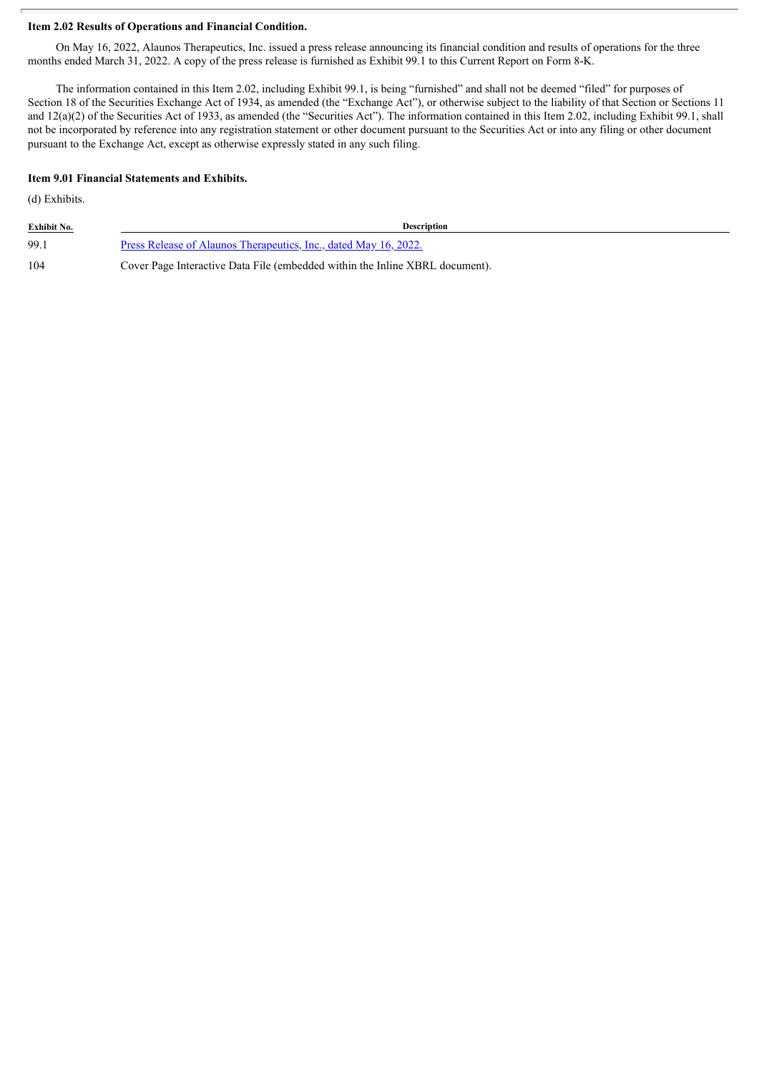### **Item 2.02 Results of Operations and Financial Condition.**

On May 16, 2022, Alaunos Therapeutics, Inc. issued a press release announcing its financial condition and results of operations for the three months ended March 31, 2022. A copy of the press release is furnished as Exhibit 99.1 to this Current Report on Form 8-K.

The information contained in this Item 2.02, including Exhibit 99.1, is being "furnished" and shall not be deemed "filed" for purposes of Section 18 of the Securities Exchange Act of 1934, as amended (the "Exchange Act"), or otherwise subject to the liability of that Section or Sections 11 and 12(a)(2) of the Securities Act of 1933, as amended (the "Securities Act"). The information contained in this Item 2.02, including Exhibit 99.1, shall not be incorporated by reference into any registration statement or other document pursuant to the Securities Act or into any filing or other document pursuant to the Exchange Act, except as otherwise expressly stated in any such filing.

#### **Item 9.01 Financial Statements and Exhibits.**

(d) Exhibits.

| <b>Exhibit No.</b> | <b>Description</b>                                                           |  |
|--------------------|------------------------------------------------------------------------------|--|
| 99.1               | Press Release of Alaunos Therapeutics, Inc., dated May 16, 2022.             |  |
| 104                | Cover Page Interactive Data File (embedded within the Inline XBRL document). |  |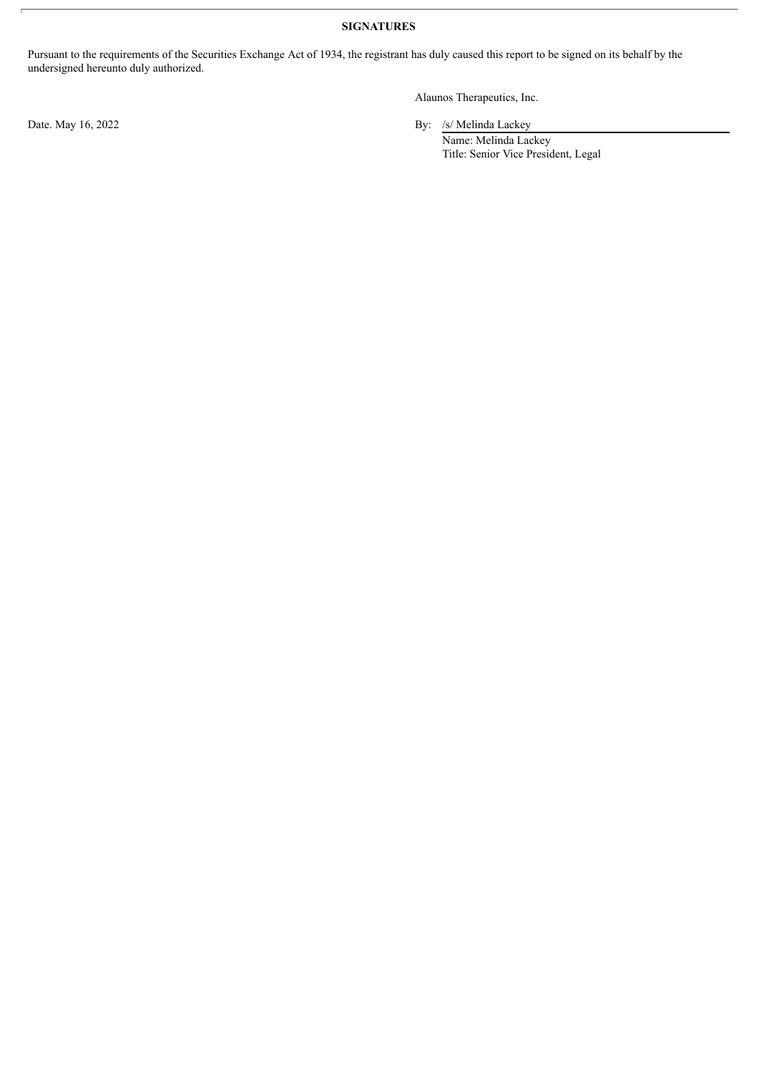## **SIGNATURES**

Pursuant to the requirements of the Securities Exchange Act of 1934, the registrant has duly caused this report to be signed on its behalf by the undersigned hereunto duly authorized.

Alaunos Therapeutics, Inc.

Date. May 16, 2022 By: /s/ Melinda Lackey

Name: Melinda Lackey Title: Senior Vice President, Legal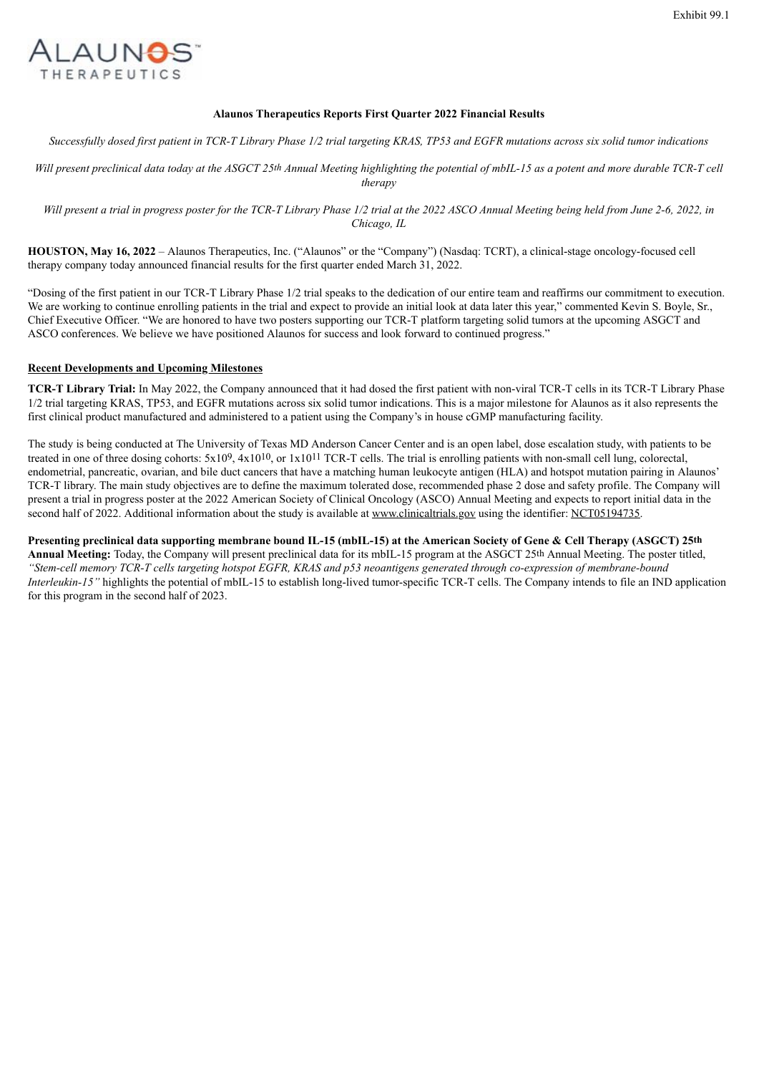<span id="page-3-0"></span>

#### **Alaunos Therapeutics Reports First Quarter 2022 Financial Results**

Successfully dosed first patient in TCR-T Library Phase 1/2 trial targeting KRAS, TP53 and EGFR mutations across six solid tumor indications

Will present preclinical data today at the ASGCT 25th Annual Meeting highlighting the potential of mbIL-15 as a potent and more durable TCR-T cell *therapy*

Will present a trial in progress poster for the TCR-T Library Phase 1/2 trial at the 2022 ASCO Annual Meeting being held from June 2-6, 2022, in *Chicago, IL*

**HOUSTON, May 16, 2022** – Alaunos Therapeutics, Inc. ("Alaunos" or the "Company") (Nasdaq: TCRT), a clinical-stage oncology-focused cell therapy company today announced financial results for the first quarter ended March 31, 2022.

"Dosing of the first patient in our TCR-T Library Phase 1/2 trial speaks to the dedication of our entire team and reaffirms our commitment to execution. We are working to continue enrolling patients in the trial and expect to provide an initial look at data later this year," commented Kevin S. Boyle, Sr., Chief Executive Officer. "We are honored to have two posters supporting our TCR-T platform targeting solid tumors at the upcoming ASGCT and ASCO conferences. We believe we have positioned Alaunos for success and look forward to continued progress."

#### **Recent Developments and Upcoming Milestones**

**TCR-T Library Trial:** In May 2022, the Company announced that it had dosed the first patient with non-viral TCR-T cells in its TCR-T Library Phase 1/2 trial targeting KRAS, TP53, and EGFR mutations across six solid tumor indications. This is a major milestone for Alaunos as it also represents the first clinical product manufactured and administered to a patient using the Company's in house cGMP manufacturing facility.

The study is being conducted at The University of Texas MD Anderson Cancer Center and is an open label, dose escalation study, with patients to be treated in one of three dosing cohorts:  $5x109$ ,  $4x1010$ , or  $1x1011$  TCR-T cells. The trial is enrolling patients with non-small cell lung, colorectal, endometrial, pancreatic, ovarian, and bile duct cancers that have a matching human leukocyte antigen (HLA) and hotspot mutation pairing in Alaunos' TCR-T library. The main study objectives are to define the maximum tolerated dose, recommended phase 2 dose and safety profile. The Company will present a trial in progress poster at the 2022 American Society of Clinical Oncology (ASCO) Annual Meeting and expects to report initial data in the second half of 2022. Additional information about the study is available at www.clinicaltrials.gov using the identifier: NCT05194735.

Presenting preclinical data supporting membrane bound IL-15 (mbIL-15) at the American Society of Gene & Cell Therapy (ASGCT) 25th **Annual Meeting:** Today, the Company will present preclinical data for its mbIL-15 program at the ASGCT 25th Annual Meeting. The poster titled, "Stem-cell memory TCR-T cells targeting hotspot EGFR, KRAS and p53 neoantigens generated through co-expression of membrane-bound *Interleukin-15"* highlights the potential of mbIL-15 to establish long-lived tumor-specific TCR-T cells. The Company intends to file an IND application for this program in the second half of 2023.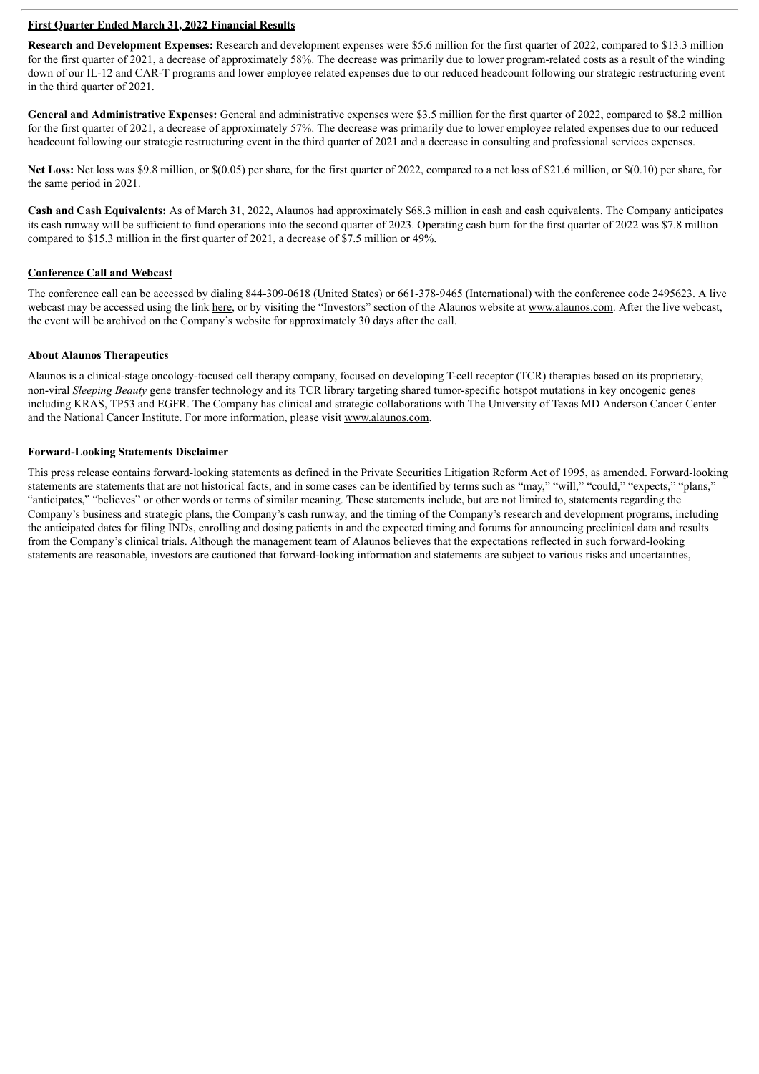#### **First Quarter Ended March 31, 2022 Financial Results**

**Research and Development Expenses:** Research and development expenses were \$5.6 million for the first quarter of 2022, compared to \$13.3 million for the first quarter of 2021, a decrease of approximately 58%. The decrease was primarily due to lower program-related costs as a result of the winding down of our IL-12 and CAR-T programs and lower employee related expenses due to our reduced headcount following our strategic restructuring event in the third quarter of 2021.

**General and Administrative Expenses:** General and administrative expenses were \$3.5 million for the first quarter of 2022, compared to \$8.2 million for the first quarter of 2021, a decrease of approximately 57%. The decrease was primarily due to lower employee related expenses due to our reduced headcount following our strategic restructuring event in the third quarter of 2021 and a decrease in consulting and professional services expenses.

**Net Loss:** Net loss was \$9.8 million, or \$(0.05) per share, for the first quarter of 2022, compared to a net loss of \$21.6 million, or \$(0.10) per share, for the same period in 2021.

**Cash and Cash Equivalents:** As of March 31, 2022, Alaunos had approximately \$68.3 million in cash and cash equivalents. The Company anticipates its cash runway will be sufficient to fund operations into the second quarter of 2023. Operating cash burn for the first quarter of 2022 was \$7.8 million compared to \$15.3 million in the first quarter of 2021, a decrease of \$7.5 million or 49%.

#### **Conference Call and Webcast**

The conference call can be accessed by dialing 844-309-0618 (United States) or 661-378-9465 (International) with the conference code 2495623. A live webcast may be accessed using the link here, or by visiting the "Investors" section of the Alaunos website at www.alaunos.com. After the live webcast, the event will be archived on the Company's website for approximately 30 days after the call.

#### **About Alaunos Therapeutics**

Alaunos is a clinical-stage oncology-focused cell therapy company, focused on developing T-cell receptor (TCR) therapies based on its proprietary, non-viral *Sleeping Beauty* gene transfer technology and its TCR library targeting shared tumor-specific hotspot mutations in key oncogenic genes including KRAS, TP53 and EGFR. The Company has clinical and strategic collaborations with The University of Texas MD Anderson Cancer Center and the National Cancer Institute. For more information, please visit www.alaunos.com.

#### **Forward-Looking Statements Disclaimer**

This press release contains forward-looking statements as defined in the Private Securities Litigation Reform Act of 1995, as amended. Forward-looking statements are statements that are not historical facts, and in some cases can be identified by terms such as "may," "will," "could," "expects," "plans," "anticipates," "believes" or other words or terms of similar meaning. These statements include, but are not limited to, statements regarding the Company's business and strategic plans, the Company's cash runway, and the timing of the Company's research and development programs, including the anticipated dates for filing INDs, enrolling and dosing patients in and the expected timing and forums for announcing preclinical data and results from the Company's clinical trials. Although the management team of Alaunos believes that the expectations reflected in such forward-looking statements are reasonable, investors are cautioned that forward-looking information and statements are subject to various risks and uncertainties,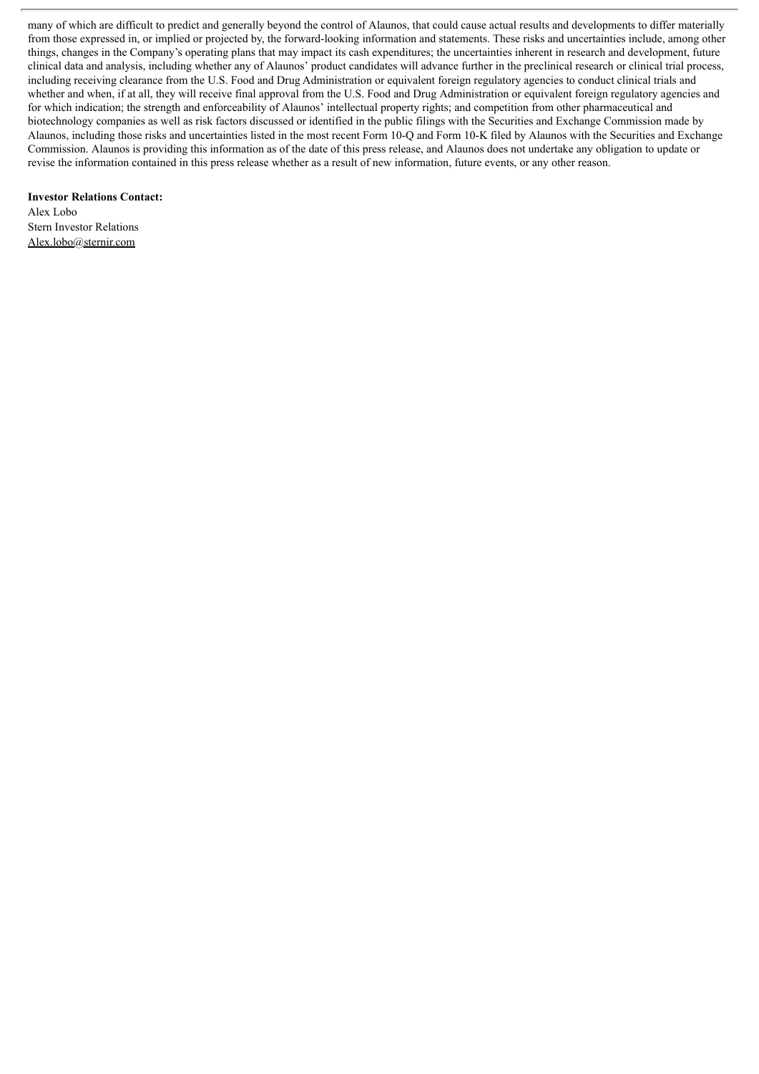many of which are difficult to predict and generally beyond the control of Alaunos, that could cause actual results and developments to differ materially from those expressed in, or implied or projected by, the forward-looking information and statements. These risks and uncertainties include, among other things, changes in the Company's operating plans that may impact its cash expenditures; the uncertainties inherent in research and development, future clinical data and analysis, including whether any of Alaunos' product candidates will advance further in the preclinical research or clinical trial process, including receiving clearance from the U.S. Food and Drug Administration or equivalent foreign regulatory agencies to conduct clinical trials and whether and when, if at all, they will receive final approval from the U.S. Food and Drug Administration or equivalent foreign regulatory agencies and for which indication; the strength and enforceability of Alaunos' intellectual property rights; and competition from other pharmaceutical and biotechnology companies as well as risk factors discussed or identified in the public filings with the Securities and Exchange Commission made by Alaunos, including those risks and uncertainties listed in the most recent Form 10-Q and Form 10-K filed by Alaunos with the Securities and Exchange Commission. Alaunos is providing this information as of the date of this press release, and Alaunos does not undertake any obligation to update or revise the information contained in this press release whether as a result of new information, future events, or any other reason.

**Investor Relations Contact:**

Alex Lobo Stern Investor Relations Alex.lobo@sternir.com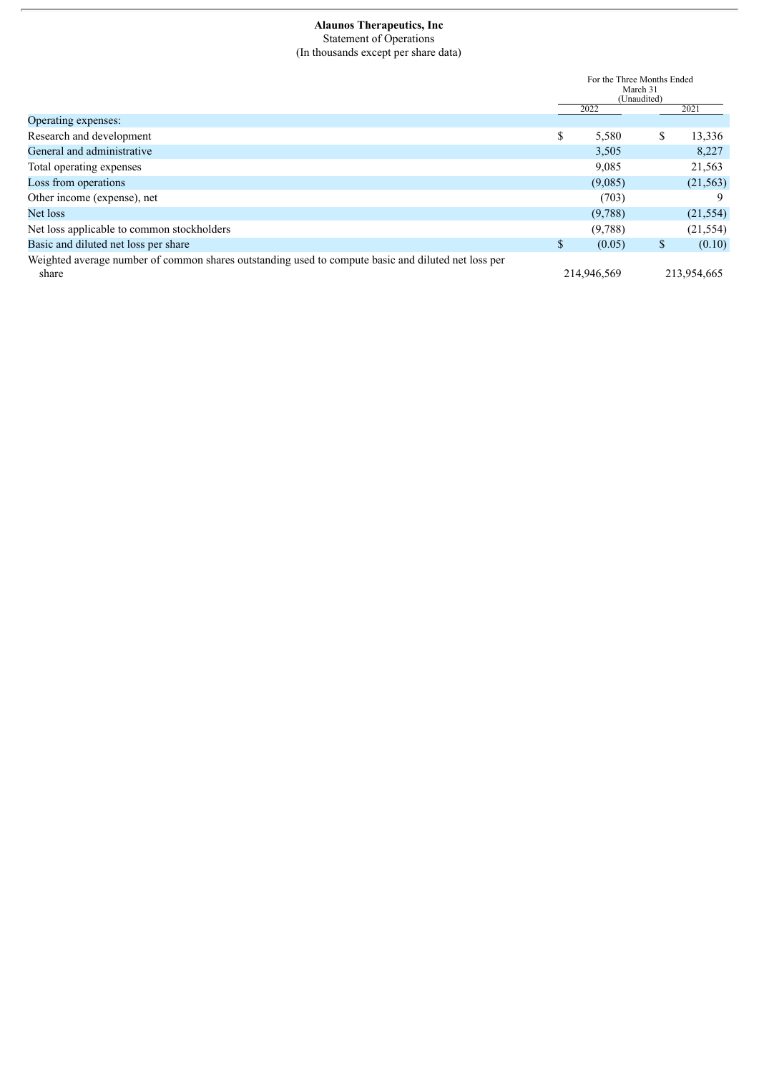#### **Alaunos Therapeutics, Inc** Statement of Operations (In thousands except per share data)

|                                                                                                              | For the Three Months Ended<br>March 31<br>(Unaudited) |             |    |             |  |
|--------------------------------------------------------------------------------------------------------------|-------------------------------------------------------|-------------|----|-------------|--|
|                                                                                                              |                                                       | 2022        |    | 2021        |  |
| Operating expenses:                                                                                          |                                                       |             |    |             |  |
| Research and development                                                                                     | \$                                                    | 5,580       | \$ | 13,336      |  |
| General and administrative                                                                                   |                                                       | 3,505       |    | 8,227       |  |
| Total operating expenses                                                                                     |                                                       | 9,085       |    | 21,563      |  |
| Loss from operations                                                                                         |                                                       | (9,085)     |    | (21, 563)   |  |
| Other income (expense), net                                                                                  |                                                       | (703)       |    | 9           |  |
| Net loss                                                                                                     |                                                       | (9,788)     |    | (21, 554)   |  |
| Net loss applicable to common stockholders                                                                   |                                                       | (9,788)     |    | (21, 554)   |  |
| Basic and diluted net loss per share                                                                         | S                                                     | (0.05)      | \$ | (0.10)      |  |
| Weighted average number of common shares outstanding used to compute basic and diluted net loss per<br>share |                                                       | 214,946,569 |    | 213,954,665 |  |